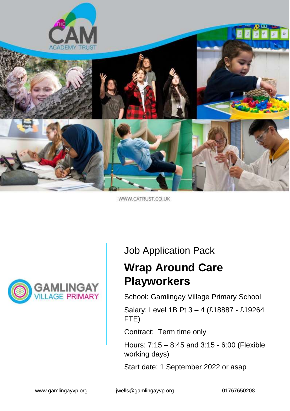

WWW.CATRUST.CO.UK



## Job Application Pack

# **Wrap Around Care Playworkers**

School: Gamlingay Village Primary School

Salary: Level 1B Pt 3 – 4 (£18887 - £19264 FTE)

Contract: Term time only

Hours: 7:15 – 8:45 and 3:15 - 6:00 (Flexible working days)

Start date: 1 September 2022 or asap

www.gamlingayvp.org jwells@gamlingayvp.org 01767650208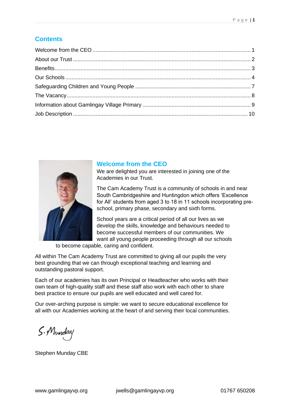## **Contents**



#### **Welcome from the CEO**

We are delighted you are interested in joining one of the Academies in our Trust.

The Cam Academy Trust is a community of schools in and near South Cambridgeshire and Huntingdon which offers 'Excellence for All' students from aged 3 to 18 in 11 schools incorporating preschool, primary phase, secondary and sixth forms.

School years are a critical period of all our lives as we develop the skills, knowledge and behaviours needed to become successful members of our communities. We want all young people proceeding through all our schools

to become capable, caring and confident.

All within The Cam Academy Trust are committed to giving all our pupils the very best grounding that we can through exceptional teaching and learning and outstanding pastoral support.

Each of our academies has its own Principal or Headteacher who works with their own team of high-quality staff and these staff also work with each other to share best practice to ensure our pupils are well educated and well cared for.

Our over-arching purpose is simple: we want to secure educational excellence for all with our Academies working at the heart of and serving their local communities.

S.Munday

Stephen Munday CBE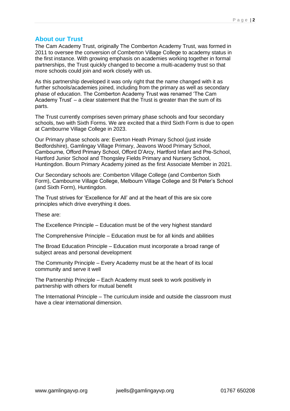### **About our Trust**

The Cam Academy Trust, originally The Comberton Academy Trust, was formed in 2011 to oversee the conversion of Comberton Village College to academy status in the first instance. With growing emphasis on academies working together in formal partnerships, the Trust quickly changed to become a multi-academy trust so that more schools could join and work closely with us.

As this partnership developed it was only right that the name changed with it as further schools/academies joined, including from the primary as well as secondary phase of education. The Comberton Academy Trust was renamed 'The Cam Academy Trust' – a clear statement that the Trust is greater than the sum of its parts.

The Trust currently comprises seven primary phase schools and four secondary schools, two with Sixth Forms. We are excited that a third Sixth Form is due to open at Cambourne Village College in 2023.

Our Primary phase schools are: Everton Heath Primary School (just inside Bedfordshire), Gamlingay Village Primary, Jeavons Wood Primary School, Cambourne, Offord Primary School, Offord D'Arcy, Hartford Infant and Pre-School, Hartford Junior School and Thongsley Fields Primary and Nursery School, Huntingdon. Bourn Primary Academy joined as the first Associate Member in 2021.

Our Secondary schools are: Comberton Village College (and Comberton Sixth Form), Cambourne Village College, Melbourn Village College and St Peter's School (and Sixth Form), Huntingdon.

The Trust strives for 'Excellence for All' and at the heart of this are six core principles which drive everything it does.

These are:

The Excellence Principle – Education must be of the very highest standard

The Comprehensive Principle – Education must be for all kinds and abilities

The Broad Education Principle – Education must incorporate a broad range of subject areas and personal development

The Community Principle – Every Academy must be at the heart of its local community and serve it well

The Partnership Principle – Each Academy must seek to work positively in partnership with others for mutual benefit

The International Principle – The curriculum inside and outside the classroom must have a clear international dimension.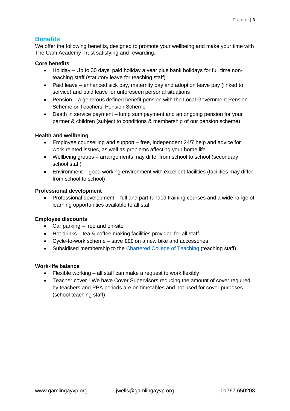### **Benefits**

We offer the following benefits, designed to promote your wellbeing and make your time with The Cam Academy Trust satisfying and rewarding.

#### **Core benefits**

- Holiday Up to 30 days' paid holiday a year plus bank holidays for full time nonteaching staff (statutory leave for teaching staff)
- Paid leave enhanced sick pay, maternity pay and adoption leave pay (linked to service) and paid leave for unforeseen personal situations
- Pension a generous defined benefit pension with the Local Government Pension Scheme or Teachers' Pension Scheme
- Death in service payment lump sum payment and an ongoing pension for your partner & children (subject to conditions & membership of our pension scheme)

#### **Health and wellbeing**

- Employee counselling and support free, independent 24/7 help and advice for work-related issues, as well as problems affecting your home life
- Wellbeing groups arrangements may differ from school to school (secondary school staff)
- Environment good working environment with excellent facilities (facilities may differ from school to school)

#### **Professional development**

• Professional development – full and part-funded training courses and a wide range of learning opportunities available to all staff

#### **Employee discounts**

- Car parking free and on-site
- Hot drinks tea & coffee making facilities provided for all staff
- Cycle-to-work scheme save £££ on a new bike and accessories
- Subsidised membership to the [Chartered College of Teaching](https://eur01.safelinks.protection.outlook.com/?url=https%3A%2F%2Fchartered.college%2F&data=05%7C01%7CJCzylok%40catrust.co.uk%7Cdc233ba9258342ee531108da485372c6%7C7eeaedd6bf3740158fe919fbc2c02d55%7C0%7C0%7C637901820507642099%7CUnknown%7CTWFpbGZsb3d8eyJWIjoiMC4wLjAwMDAiLCJQIjoiV2luMzIiLCJBTiI6Ik1haWwiLCJXVCI6Mn0%3D%7C3000%7C%7C%7C&sdata=P79OPWCSJ%2FgoH2SQtTvELIXtC%2FPypLJ4EOkMkVF3BQY%3D&reserved=0) (teaching staff)

#### **Work-life balance**

- Flexible working all staff can make a request to work flexibly
- Teacher cover We have Cover Supervisors reducing the amount of cover required by teachers and PPA periods are on timetables and not used for cover purposes (school teaching staff)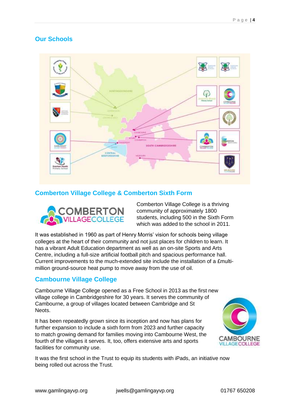## **Our Schools**



### **Comberton Village College & Comberton Sixth Form**



Comberton Village College is a thriving community of approximately 1800 students, including 500 in the Sixth Form which was added to the school in 2011.

It was established in 1960 as part of Henry Morris' vision for schools being village colleges at the heart of their community and not just places for children to learn. It has a vibrant Adult Education department as well as an on-site Sports and Arts Centre, including a full-size artificial football pitch and spacious performance hall. Current improvements to the much-extended site include the installation of a £multimillion ground-source heat pump to move away from the use of oil.

#### **Cambourne Village College**

Cambourne Village College opened as a Free School in 2013 as the first new village college in Cambridgeshire for 30 years. It serves the community of Cambourne, a group of villages located between Cambridge and St Neots.

It has been repeatedly grown since its inception and now has plans for further expansion to include a sixth form from 2023 and further capacity to match growing demand for families moving into Cambourne West, the fourth of the villages it serves. It, too, offers extensive arts and sports facilities for community use.



It was the first school in the Trust to equip its students with iPads, an initiative now being rolled out across the Trust.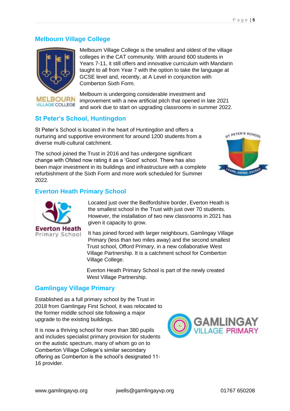#### **Melbourn Village College**



Melbourn Village College is the smallest and oldest of the village colleges in the CAT community. With around 600 students in Years 7-11, it still offers and innovative curriculum with Mandarin taught to all from Year 7 with the option to take the language at GCSE level and, recently, at A Level in conjunction with Comberton Sixth Form.

Melbourn is undergoing considerable investment and improvement with a new artificial pitch that opened in late 2021 and work due to start on upgrading classrooms in summer 2022.

### **St Peter's School, Huntingdon**

St Peter's School is located in the heart of Huntingdon and offers a nurturing and supportive environment for around 1200 students from a diverse multi-cultural catchment.

The school joined the Trust in 2016 and has undergone significant change with Ofsted now rating it as a 'Good' school. There has also been major investment in its buildings and infrastructure with a complete refurbishment of the Sixth Form and more work scheduled for Summer 2022.



### **Everton Heath Primary School**



Located just over the Bedfordshire border, Everton Heath is the smallest school in the Trust with just over 70 students. However, the installation of two new classrooms in 2021 has given it capacity to grow.

It has joined forced with larger neighbours, Gamlingay Village Primary (less than two miles away) and the second smallest Trust school, Offord Primary, in a new collaborative West Village Partnership. It is a catchment school for Comberton Village College.

Everton Heath Primary School is part of the newly created West Village Partnership.

#### **Gamlingay Village Primary**

Established as a full primary school by the Trust in 2018 from Gamlingay First School, it was relocated to the former middle school site following a major upgrade to the existing buildings.

It is now a thriving school for more than 380 pupils and includes specialist primary provision for students on the autistic spectrum, many of whom go on to Comberton Village College's similar secondary offering as Comberton is the school's designated 11- 16 provider.

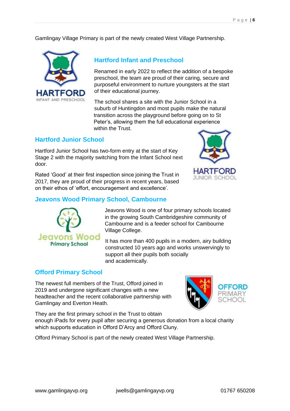Gamlingay Village Primary is part of the newly created West Village Partnership.



#### **Hartford Infant and Preschool**

Renamed in early 2022 to reflect the addition of a bespoke preschool, the team are proud of their caring, secure and purposeful environment to nurture youngsters at the start of their educational journey.

The school shares a site with the Junior School in a suburb of Huntingdon and most pupils make the natural transition across the playground before going on to St Peter's, allowing them the full educational experience within the Trust.

#### **Hartford Junior School**

Hartford Junior School has two-form entry at the start of Key Stage 2 with the majority switching from the Infant School next door.

Rated 'Good' at their first inspection since joining the Trust in 2017, they are proud of their progress in recent years, based on their ethos of 'effort, encouragement and excellence'.



## **Jeavons Wood Primary School, Cambourne**



Jeavons Wood is one of four primary schools located in the growing South Cambridgeshire community of Cambourne and is a feeder school for Cambourne Village College.

It has more than 400 pupils in a modern, airy building constructed 10 years ago and works unswervingly to support all their pupils both socially and academically.

#### **Offord Primary School**

The newest full members of the Trust, Offord joined in 2019 and undergone significant changes with a new headteacher and the recent collaborative partnership with Gamlingay and Everton Heath.



They are the first primary school in the Trust to obtain enough iPads for every pupil after securing a generous donation from a local charity which supports education in Offord D'Arcy and Offord Cluny.

Offord Primary School is part of the newly created West Village Partnership.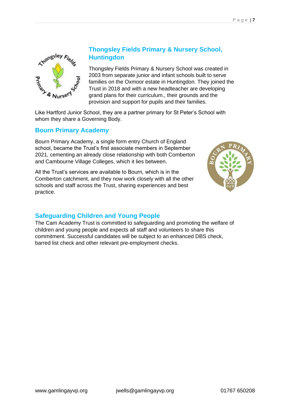

## **Thongsley Fields Primary & Nursery School, Huntingdon**

Thongsley Fields Primary & Nursery School was created in 2003 from separate junior and infant schools built to serve families on the Oxmoor estate in Huntingdon. They joined the Trust in 2018 and with a new headteacher are developing grand plans for their curriculum., their grounds and the provision and support for pupils and their families.

Like Hartford Junior School, they are a partner primary for St Peter's School with whom they share a Governing Body.

### **Bourn Primary Academy**

Bourn Primary Academy, a single form entry Church of England school, became the Trust's first associate members in September 2021, cementing an already close relationship with both Comberton and Cambourne Village Colleges, which it lies between.

All the Trust's services are available to Bourn, which is in the Comberton catchment, and they now work closely with all the other schools and staff across the Trust, sharing experiences and best practice.



## **Safeguarding Children and Young People**

The Cam Academy Trust is committed to safeguarding and promoting the welfare of children and young people and expects all staff and volunteers to share this commitment. Successful candidates will be subject to an enhanced DBS check, barred list check and other relevant pre-employment checks.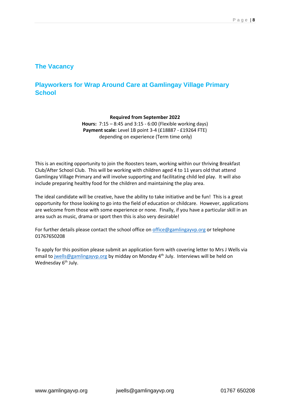#### **The Vacancy**

## **Playworkers for Wrap Around Care at Gamlingay Village Primary School**

#### **Required from September 2022**

**Hours:** 7:15 – 8:45 and 3:15 - 6:00 (Flexible working days) **Payment scale:** Level 1B point 3-4 (£18887 - £19264 FTE) depending on experience (Term time only)

This is an exciting opportunity to join the Roosters team, working within our thriving Breakfast Club/After School Club. This will be working with children aged 4 to 11 years old that attend Gamlingay Village Primary and will involve supporting and facilitating child led play. It will also include preparing healthy food for the children and maintaining the play area.

The ideal candidate will be creative, have the ability to take initiative and be fun! This is a great opportunity for those looking to go into the field of education or childcare. However, applications are welcome from those with some experience or none. Finally, if you have a particular skill in an area such as music, drama or sport then this is also very desirable!

For further details please contact the school office on [office@gamlingayvp.org](mailto:office@gamlingayvp.org) or telephone 01767650208

To apply for this position please submit an application form with covering letter to Mrs J Wells via email to [jwells@gamlingayvp.org](mailto:jwells@gamlingayvp.org) by midday on Monday  $4<sup>th</sup>$  July. Interviews will be held on Wednesday 6<sup>th</sup> July.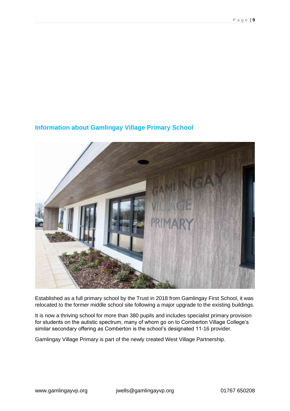

## **Information about Gamlingay Village Primary School**

Established as a full primary school by the Trust in 2018 from Gamlingay First School, it was relocated to the former middle school site following a major upgrade to the existing buildings.

It is now a thriving school for more than 380 pupils and includes specialist primary provision for students on the autistic spectrum, many of whom go on to Comberton Village College's similar secondary offering as Comberton is the school's designated 11-16 provider.

Gamlingay Village Primary is part of the newly created West Village Partnership.